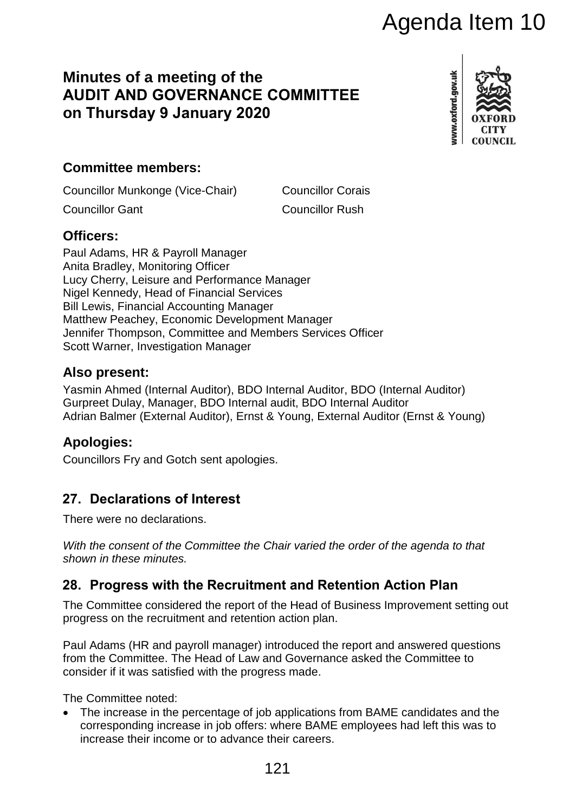# **Minutes of a meeting of the AUDIT AND GOVERNANCE COMMITTEE on Thursday 9 January 2020**



## **Committee members:**

Councillor Munkonge (Vice-Chair) Councillor Corais

**Councillor Gant Councillor Rush** 

## **Officers:**

Paul Adams, HR & Payroll Manager Anita Bradley, Monitoring Officer Lucy Cherry, Leisure and Performance Manager Nigel Kennedy, Head of Financial Services Bill Lewis, Financial Accounting Manager Matthew Peachey, Economic Development Manager Jennifer Thompson, Committee and Members Services Officer Scott Warner, Investigation Manager **COMMITTEE**<br> **COMMITTEE**<br> **COMMITTEE**<br> **COMMITTEE**<br> **COMMITTEE**<br> **COMMITTEE**<br> **COMMITTEE**<br> **COMMITTEE**<br> **COMMITTEE**<br> **COMMITTEE**<br> **COMMITTEE**<br> **COMMITTEE**<br> **COMMITTEE**<br> **COMMITTEE**<br> **COMMITTEE**<br> **COMMITTEE**<br> **COMMITMEE**<br>
C

## **Also present:**

Yasmin Ahmed (Internal Auditor), BDO Internal Auditor, BDO (Internal Auditor) Gurpreet Dulay, Manager, BDO Internal audit, BDO Internal Auditor Adrian Balmer (External Auditor), Ernst & Young, External Auditor (Ernst & Young)

## **Apologies:**

Councillors Fry and Gotch sent apologies.

# **27. Declarations of Interest**

There were no declarations.

*With the consent of the Committee the Chair varied the order of the agenda to that shown in these minutes.*

## **28. Progress with the Recruitment and Retention Action Plan**

The Committee considered the report of the Head of Business Improvement setting out progress on the recruitment and retention action plan.

Paul Adams (HR and payroll manager) introduced the report and answered questions from the Committee. The Head of Law and Governance asked the Committee to consider if it was satisfied with the progress made.

The Committee noted:

 The increase in the percentage of job applications from BAME candidates and the corresponding increase in job offers: where BAME employees had left this was to increase their income or to advance their careers.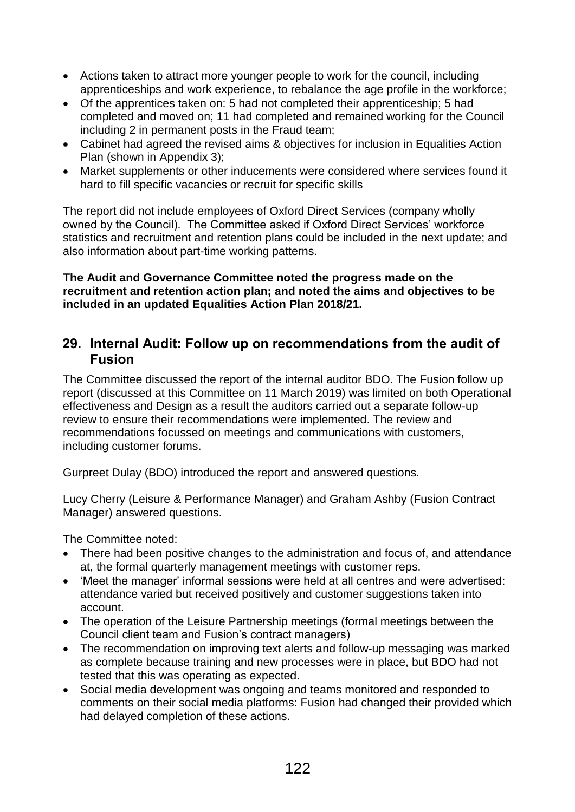- Actions taken to attract more younger people to work for the council, including apprenticeships and work experience, to rebalance the age profile in the workforce;
- Of the apprentices taken on: 5 had not completed their apprenticeship; 5 had completed and moved on; 11 had completed and remained working for the Council including 2 in permanent posts in the Fraud team;
- Cabinet had agreed the revised aims & objectives for inclusion in Equalities Action Plan (shown in Appendix 3);
- Market supplements or other inducements were considered where services found it hard to fill specific vacancies or recruit for specific skills

The report did not include employees of Oxford Direct Services (company wholly owned by the Council). The Committee asked if Oxford Direct Services' workforce statistics and recruitment and retention plans could be included in the next update; and also information about part-time working patterns.

#### **The Audit and Governance Committee noted the progress made on the recruitment and retention action plan; and noted the aims and objectives to be included in an updated Equalities Action Plan 2018/21.**

#### **29. Internal Audit: Follow up on recommendations from the audit of Fusion**

The Committee discussed the report of the internal auditor BDO. The Fusion follow up report (discussed at this Committee on 11 March 2019) was limited on both Operational effectiveness and Design as a result the auditors carried out a separate follow-up review to ensure their recommendations were implemented. The review and recommendations focussed on meetings and communications with customers, including customer forums.

Gurpreet Dulay (BDO) introduced the report and answered questions.

Lucy Cherry (Leisure & Performance Manager) and Graham Ashby (Fusion Contract Manager) answered questions.

The Committee noted:

- There had been positive changes to the administration and focus of, and attendance at, the formal quarterly management meetings with customer reps.
- 'Meet the manager' informal sessions were held at all centres and were advertised: attendance varied but received positively and customer suggestions taken into account.
- The operation of the Leisure Partnership meetings (formal meetings between the Council client team and Fusion's contract managers)
- The recommendation on improving text alerts and follow-up messaging was marked as complete because training and new processes were in place, but BDO had not tested that this was operating as expected.
- Social media development was ongoing and teams monitored and responded to comments on their social media platforms: Fusion had changed their provided which had delayed completion of these actions.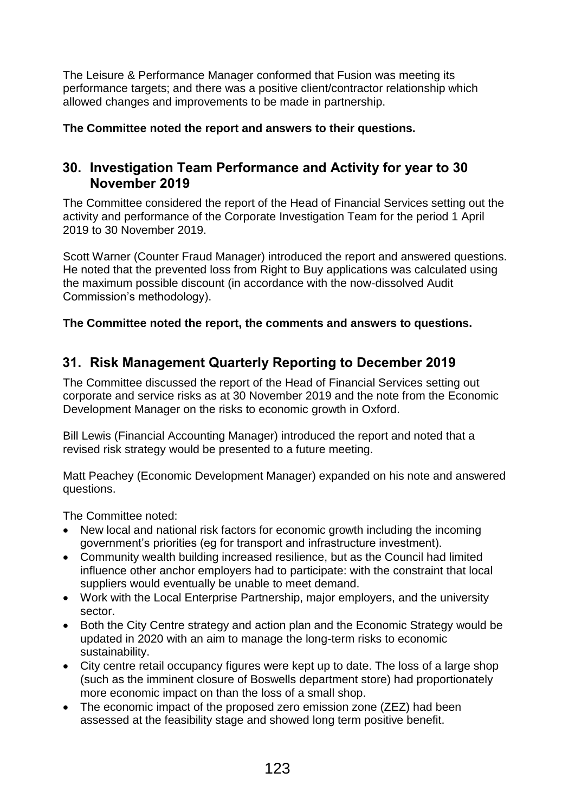The Leisure & Performance Manager conformed that Fusion was meeting its performance targets; and there was a positive client/contractor relationship which allowed changes and improvements to be made in partnership.

**The Committee noted the report and answers to their questions.**

## **30. Investigation Team Performance and Activity for year to 30 November 2019**

The Committee considered the report of the Head of Financial Services setting out the activity and performance of the Corporate Investigation Team for the period 1 April 2019 to 30 November 2019.

Scott Warner (Counter Fraud Manager) introduced the report and answered questions. He noted that the prevented loss from Right to Buy applications was calculated using the maximum possible discount (in accordance with the now-dissolved Audit Commission's methodology).

#### **The Committee noted the report, the comments and answers to questions.**

## **31. Risk Management Quarterly Reporting to December 2019**

The Committee discussed the report of the Head of Financial Services setting out corporate and service risks as at 30 November 2019 and the note from the Economic Development Manager on the risks to economic growth in Oxford.

Bill Lewis (Financial Accounting Manager) introduced the report and noted that a revised risk strategy would be presented to a future meeting.

Matt Peachey (Economic Development Manager) expanded on his note and answered questions.

The Committee noted:

- New local and national risk factors for economic growth including the incoming government's priorities (eg for transport and infrastructure investment).
- Community wealth building increased resilience, but as the Council had limited influence other anchor employers had to participate: with the constraint that local suppliers would eventually be unable to meet demand.
- Work with the Local Enterprise Partnership, major employers, and the university sector.
- Both the City Centre strategy and action plan and the Economic Strategy would be updated in 2020 with an aim to manage the long-term risks to economic sustainability.
- City centre retail occupancy figures were kept up to date. The loss of a large shop (such as the imminent closure of Boswells department store) had proportionately more economic impact on than the loss of a small shop.
- The economic impact of the proposed zero emission zone (ZEZ) had been assessed at the feasibility stage and showed long term positive benefit.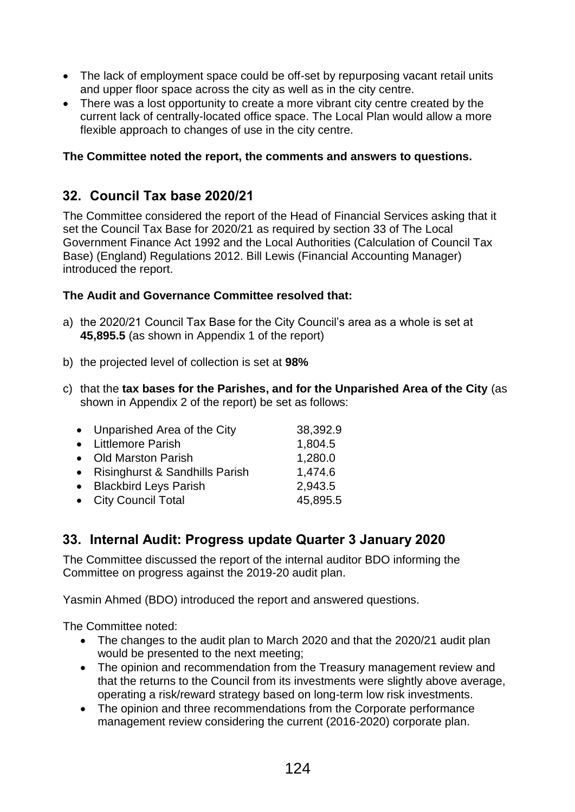- The lack of employment space could be off-set by repurposing vacant retail units and upper floor space across the city as well as in the city centre.
- There was a lost opportunity to create a more vibrant city centre created by the current lack of centrally-located office space. The Local Plan would allow a more flexible approach to changes of use in the city centre.

#### **The Committee noted the report, the comments and answers to questions.**

## **32. Council Tax base 2020/21**

The Committee considered the report of the Head of Financial Services asking that it set the Council Tax Base for 2020/21 as required by section 33 of The Local Government Finance Act 1992 and the Local Authorities (Calculation of Council Tax Base) (England) Regulations 2012. Bill Lewis (Financial Accounting Manager) introduced the report.

#### **The Audit and Governance Committee resolved that:**

- a) the 2020/21 Council Tax Base for the City Council's area as a whole is set at **45,895.5** (as shown in Appendix 1 of the report)
- b) the projected level of collection is set at **98%**
- c) that the **tax bases for the Parishes, and for the Unparished Area of the City** (as shown in Appendix 2 of the report) be set as follows:

| • Unparished Area of the City    | 38,392.9 |
|----------------------------------|----------|
| • Littlemore Parish              | 1,804.5  |
| • Old Marston Parish             | 1,280.0  |
| • Risinghurst & Sandhills Parish | 1,474.6  |
| • Blackbird Leys Parish          | 2,943.5  |
| • City Council Total             | 45,895.5 |

## **33. Internal Audit: Progress update Quarter 3 January 2020**

The Committee discussed the report of the internal auditor BDO informing the Committee on progress against the 2019-20 audit plan.

Yasmin Ahmed (BDO) introduced the report and answered questions.

The Committee noted:

- The changes to the audit plan to March 2020 and that the 2020/21 audit plan would be presented to the next meeting;
- The opinion and recommendation from the Treasury management review and that the returns to the Council from its investments were slightly above average, operating a risk/reward strategy based on long-term low risk investments.
- The opinion and three recommendations from the Corporate performance management review considering the current (2016-2020) corporate plan.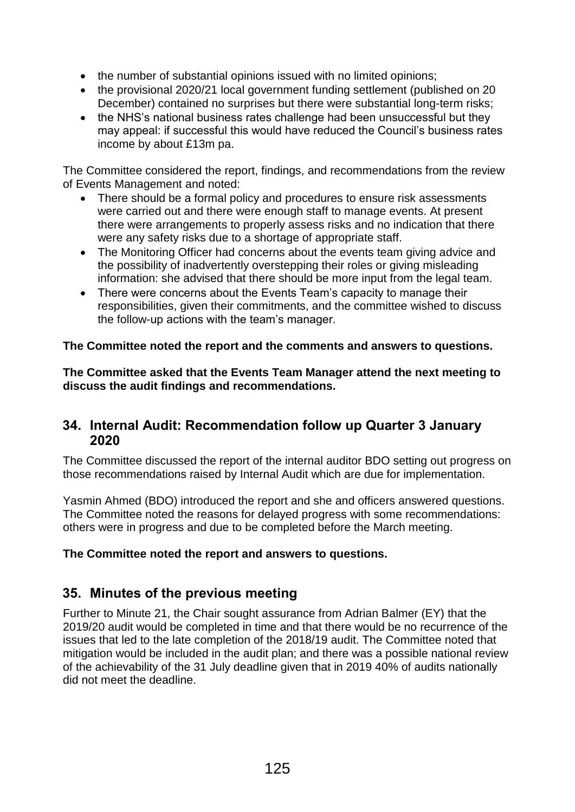- the number of substantial opinions issued with no limited opinions;
- the provisional 2020/21 local government funding settlement (published on 20 December) contained no surprises but there were substantial long-term risks;
- the NHS's national business rates challenge had been unsuccessful but they may appeal: if successful this would have reduced the Council's business rates income by about £13m pa.

The Committee considered the report, findings, and recommendations from the review of Events Management and noted:

- There should be a formal policy and procedures to ensure risk assessments were carried out and there were enough staff to manage events. At present there were arrangements to properly assess risks and no indication that there were any safety risks due to a shortage of appropriate staff.
- The Monitoring Officer had concerns about the events team giving advice and the possibility of inadvertently overstepping their roles or giving misleading information: she advised that there should be more input from the legal team.
- There were concerns about the Events Team's capacity to manage their responsibilities, given their commitments, and the committee wished to discuss the follow-up actions with the team's manager.

#### **The Committee noted the report and the comments and answers to questions.**

**The Committee asked that the Events Team Manager attend the next meeting to discuss the audit findings and recommendations.**

#### **34. Internal Audit: Recommendation follow up Quarter 3 January 2020**

The Committee discussed the report of the internal auditor BDO setting out progress on those recommendations raised by Internal Audit which are due for implementation.

Yasmin Ahmed (BDO) introduced the report and she and officers answered questions. The Committee noted the reasons for delayed progress with some recommendations: others were in progress and due to be completed before the March meeting.

#### **The Committee noted the report and answers to questions.**

## **35. Minutes of the previous meeting**

Further to Minute 21, the Chair sought assurance from Adrian Balmer (EY) that the 2019/20 audit would be completed in time and that there would be no recurrence of the issues that led to the late completion of the 2018/19 audit. The Committee noted that mitigation would be included in the audit plan; and there was a possible national review of the achievability of the 31 July deadline given that in 2019 40% of audits nationally did not meet the deadline.